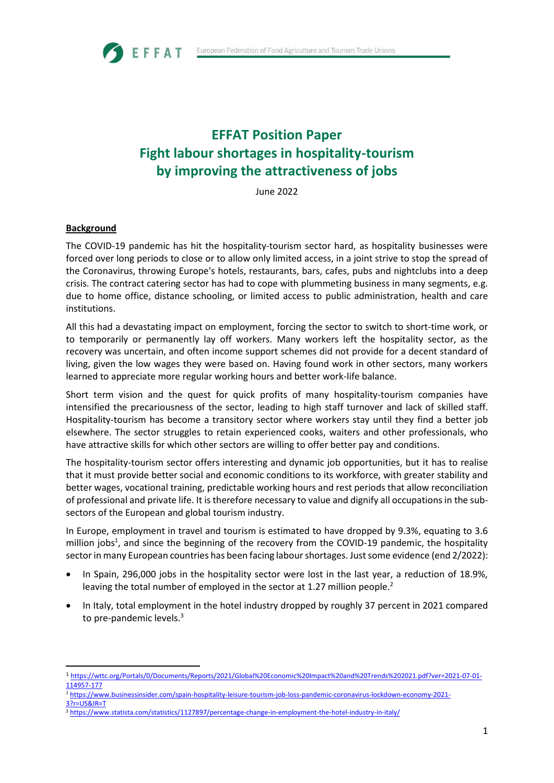

# **EFFAT Position Paper Fight labour shortages in hospitality-tourism by improving the attractiveness of jobs**

June 2022

#### **Background**

The COVID-19 pandemic has hit the hospitality-tourism sector hard, as hospitality businesses were forced over long periods to close or to allow only limited access, in a joint strive to stop the spread of the Coronavirus, throwing Europe's hotels, restaurants, bars, cafes, pubs and nightclubs into a deep crisis. The contract catering sector has had to cope with plummeting business in many segments, e.g. due to home office, distance schooling, or limited access to public administration, health and care institutions.

All this had a devastating impact on employment, forcing the sector to switch to short-time work, or to temporarily or permanently lay off workers. Many workers left the hospitality sector, as the recovery was uncertain, and often income support schemes did not provide for a decent standard of living, given the low wages they were based on. Having found work in other sectors, many workers learned to appreciate more regular working hours and better work-life balance.

Short term vision and the quest for quick profits of many hospitality-tourism companies have intensified the precariousness of the sector, leading to high staff turnover and lack of skilled staff. Hospitality-tourism has become a transitory sector where workers stay until they find a better job elsewhere. The sector struggles to retain experienced cooks, waiters and other professionals, who have attractive skills for which other sectors are willing to offer better pay and conditions.

The hospitality-tourism sector offers interesting and dynamic job opportunities, but it has to realise that it must provide better social and economic conditions to its workforce, with greater stability and better wages, vocational training, predictable working hours and rest periods that allow reconciliation of professional and private life. It is therefore necessary to value and dignify all occupations in the subsectors of the European and global tourism industry.

In Europe, employment in travel and tourism is estimated to have dropped by 9.3%, equating to 3.6 million jobs<sup>1</sup>, and since the beginning of the recovery from the COVID-19 pandemic, the hospitality sector in many European countries has been facing labour shortages. Just some evidence (end 2/2022):

- In Spain, 296,000 jobs in the hospitality sector were lost in the last year, a reduction of 18.9%, leaving the total number of employed in the sector at 1.27 million people.<sup>2</sup>
- In Italy, total employment in the hotel industry dropped by roughly 37 percent in 2021 compared to pre-pandemic levels.<sup>3</sup>

<sup>1</sup> [https://wttc.org/Portals/0/Documents/Reports/2021/Global%20Economic%20Impact%20and%20Trends%202021.pdf?ver=2021-07-01-](https://wttc.org/Portals/0/Documents/Reports/2021/Global%20Economic%20Impact%20and%20Trends%202021.pdf?ver=2021-07-01-114957-177) [114957-177](https://wttc.org/Portals/0/Documents/Reports/2021/Global%20Economic%20Impact%20and%20Trends%202021.pdf?ver=2021-07-01-114957-177)

<sup>2</sup> [https://www.businessinsider.com/spain-hospitality-leisure-tourism-job-loss-pandemic-coronavirus-lockdown-economy-2021-](https://www.businessinsider.com/spain-hospitality-leisure-tourism-job-loss-pandemic-coronavirus-lockdown-economy-2021-3?r=US&IR=T) [3?r=US&IR=T](https://www.businessinsider.com/spain-hospitality-leisure-tourism-job-loss-pandemic-coronavirus-lockdown-economy-2021-3?r=US&IR=T)

<sup>3</sup> <https://www.statista.com/statistics/1127897/percentage-change-in-employment-the-hotel-industry-in-italy/>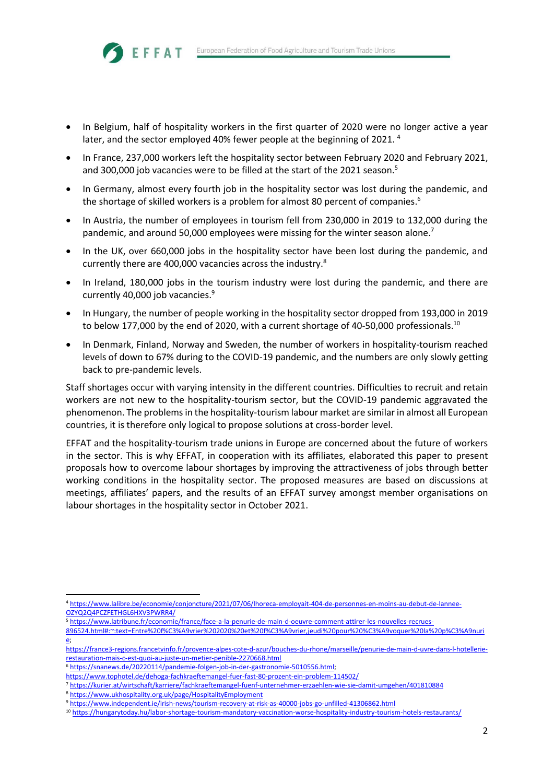- In Belgium, half of hospitality workers in the first quarter of 2020 were no longer active a year later, and the sector employed 40% fewer people at the beginning of 2021.<sup>4</sup>
- In France, 237,000 workers left the hospitality sector between February 2020 and February 2021, and 300,000 job vacancies were to be filled at the start of the 2021 season.<sup>5</sup>
- In Germany, almost every fourth job in the hospitality sector was lost during the pandemic, and the shortage of skilled workers is a problem for almost 80 percent of companies.<sup>6</sup>
- In Austria, the number of employees in tourism fell from 230,000 in 2019 to 132,000 during the pandemic, and around 50,000 employees were missing for the winter season alone.<sup>7</sup>
- In the UK, over 660,000 jobs in the hospitality sector have been lost during the pandemic, and currently there are 400,000 vacancies across the industry.<sup>8</sup>
- In Ireland, 180,000 jobs in the tourism industry were lost during the pandemic, and there are currently 40,000 job vacancies.<sup>9</sup>
- In Hungary, the number of people working in the hospitality sector dropped from 193,000 in 2019 to below 177,000 by the end of 2020, with a current shortage of 40-50,000 professionals.<sup>10</sup>
- In Denmark, Finland, Norway and Sweden, the number of workers in hospitality-tourism reached levels of down to 67% during to the COVID-19 pandemic, and the numbers are only slowly getting back to pre-pandemic levels.

Staff shortages occur with varying intensity in the different countries. Difficulties to recruit and retain workers are not new to the hospitality-tourism sector, but the COVID-19 pandemic aggravated the phenomenon. The problems in the hospitality-tourism labour market are similar in almost all European countries, it is therefore only logical to propose solutions at cross-border level.

EFFAT and the hospitality-tourism trade unions in Europe are concerned about the future of workers in the sector. This is why EFFAT, in cooperation with its affiliates, elaborated this paper to present proposals how to overcome labour shortages by improving the attractiveness of jobs through better working conditions in the hospitality sector. The proposed measures are based on discussions at meetings, affiliates' papers, and the results of an EFFAT survey amongst member organisations on labour shortages in the hospitality sector in October 2021.

- <sup>5</sup> [https://www.latribune.fr/economie/france/face-a-la-penurie-de-main-d-oeuvre-comment-attirer-les-nouvelles-recrues-](https://www.latribune.fr/economie/france/face-a-la-penurie-de-main-d-oeuvre-comment-attirer-les-nouvelles-recrues-896524.html#:~:text=Entre%20f%C3%A9vrier%202020%20et%20f%C3%A9vrier,jeudi%20pour%20%C3%A9voquer%20la%20p%C3%A9nurie)
- [896524.html#:~:text=Entre%20f%C3%A9vrier%202020%20et%20f%C3%A9vrier,jeudi%20pour%20%C3%A9voquer%20la%20p%C3%A9nuri](https://www.latribune.fr/economie/france/face-a-la-penurie-de-main-d-oeuvre-comment-attirer-les-nouvelles-recrues-896524.html#:~:text=Entre%20f%C3%A9vrier%202020%20et%20f%C3%A9vrier,jeudi%20pour%20%C3%A9voquer%20la%20p%C3%A9nurie) [e;](https://www.latribune.fr/economie/france/face-a-la-penurie-de-main-d-oeuvre-comment-attirer-les-nouvelles-recrues-896524.html#:~:text=Entre%20f%C3%A9vrier%202020%20et%20f%C3%A9vrier,jeudi%20pour%20%C3%A9voquer%20la%20p%C3%A9nurie)

<sup>6</sup> [https://snanews.de/20220114/pandemie-folgen-job-in-der-gastronomie-5010556.html;](https://snanews.de/20220114/pandemie-folgen-job-in-der-gastronomie-5010556.html)

<https://www.tophotel.de/dehoga-fachkraeftemangel-fuer-fast-80-prozent-ein-problem-114502/>

<sup>8</sup> <https://www.ukhospitality.org.uk/page/HospitalityEmployment>

EFFAT

<sup>4</sup> [https://www.lalibre.be/economie/conjoncture/2021/07/06/lhoreca-employait-404-de-personnes-en-moins-au-debut-de-lannee-](https://www.lalibre.be/economie/conjoncture/2021/07/06/lhoreca-employait-404-de-personnes-en-moins-au-debut-de-lannee-OZYQ2Q4PCZFETHGL6HXV3PWRR4/)[OZYQ2Q4PCZFETHGL6HXV3PWRR4/](https://www.lalibre.be/economie/conjoncture/2021/07/06/lhoreca-employait-404-de-personnes-en-moins-au-debut-de-lannee-OZYQ2Q4PCZFETHGL6HXV3PWRR4/)

[https://france3-regions.francetvinfo.fr/provence-alpes-cote-d-azur/bouches-du-rhone/marseille/penurie-de-main-d-uvre-dans-l-hotellerie](https://france3-regions.francetvinfo.fr/provence-alpes-cote-d-azur/bouches-du-rhone/marseille/penurie-de-main-d-uvre-dans-l-hotellerie-restauration-mais-c-est-quoi-au-juste-un-metier-penible-2270668.html)[restauration-mais-c-est-quoi-au-juste-un-metier-penible-2270668.html](https://france3-regions.francetvinfo.fr/provence-alpes-cote-d-azur/bouches-du-rhone/marseille/penurie-de-main-d-uvre-dans-l-hotellerie-restauration-mais-c-est-quoi-au-juste-un-metier-penible-2270668.html)

<sup>7</sup> <https://kurier.at/wirtschaft/karriere/fachkraeftemangel-fuenf-unternehmer-erzaehlen-wie-sie-damit-umgehen/401810884>

<sup>9</sup> <https://www.independent.ie/irish-news/tourism-recovery-at-risk-as-40000-jobs-go-unfilled-41306862.html>

<sup>10</sup> <https://hungarytoday.hu/labor-shortage-tourism-mandatory-vaccination-worse-hospitality-industry-tourism-hotels-restaurants/>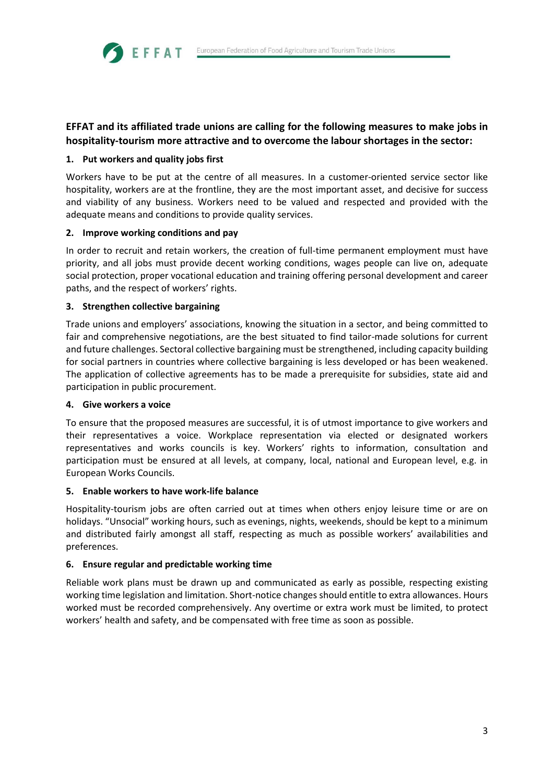## **EFFAT and its affiliated trade unions are calling for the following measures to make jobs in hospitality-tourism more attractive and to overcome the labour shortages in the sector:**

## **1. Put workers and quality jobs first**

**SEFFAT** 

Workers have to be put at the centre of all measures. In a customer-oriented service sector like hospitality, workers are at the frontline, they are the most important asset, and decisive for success and viability of any business. Workers need to be valued and respected and provided with the adequate means and conditions to provide quality services.

## **2. Improve working conditions and pay**

In order to recruit and retain workers, the creation of full-time permanent employment must have priority, and all jobs must provide decent working conditions, wages people can live on, adequate social protection, proper vocational education and training offering personal development and career paths, and the respect of workers' rights.

## **3. Strengthen collective bargaining**

Trade unions and employers' associations, knowing the situation in a sector, and being committed to fair and comprehensive negotiations, are the best situated to find tailor-made solutions for current and future challenges. Sectoral collective bargaining must be strengthened, including capacity building for social partners in countries where collective bargaining is less developed or has been weakened. The application of collective agreements has to be made a prerequisite for subsidies, state aid and participation in public procurement.

## **4. Give workers a voice**

To ensure that the proposed measures are successful, it is of utmost importance to give workers and their representatives a voice. Workplace representation via elected or designated workers representatives and works councils is key. Workers' rights to information, consultation and participation must be ensured at all levels, at company, local, national and European level, e.g. in European Works Councils.

## **5. Enable workers to have work-life balance**

Hospitality-tourism jobs are often carried out at times when others enjoy leisure time or are on holidays. "Unsocial" working hours, such as evenings, nights, weekends, should be kept to a minimum and distributed fairly amongst all staff, respecting as much as possible workers' availabilities and preferences.

## **6. Ensure regular and predictable working time**

Reliable work plans must be drawn up and communicated as early as possible, respecting existing working time legislation and limitation. Short-notice changes should entitle to extra allowances. Hours worked must be recorded comprehensively. Any overtime or extra work must be limited, to protect workers' health and safety, and be compensated with free time as soon as possible.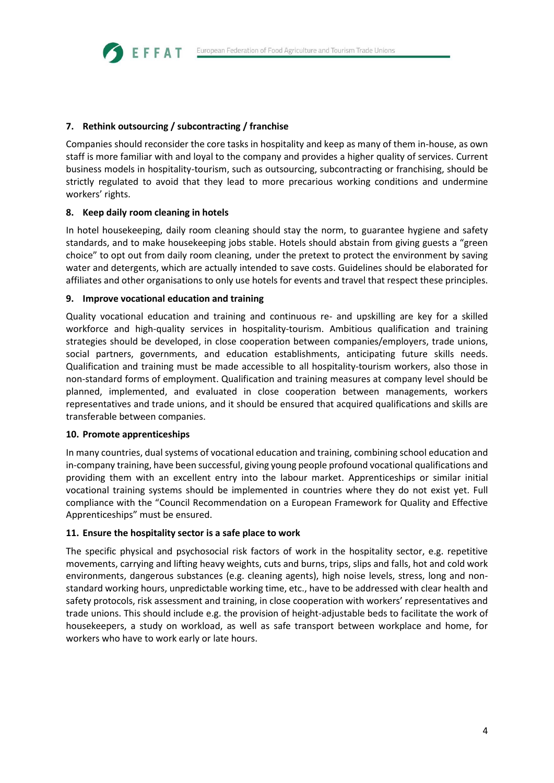## **7. Rethink outsourcing / subcontracting / franchise**

Companies should reconsider the core tasks in hospitality and keep as many of them in-house, as own staff is more familiar with and loyal to the company and provides a higher quality of services. Current business models in hospitality-tourism, such as outsourcing, subcontracting or franchising, should be strictly regulated to avoid that they lead to more precarious working conditions and undermine workers' rights.

#### **8. Keep daily room cleaning in hotels**

**SEFFAT** 

In hotel housekeeping, daily room cleaning should stay the norm, to guarantee hygiene and safety standards, and to make housekeeping jobs stable. Hotels should abstain from giving guests a "green choice" to opt out from daily room cleaning, under the pretext to protect the environment by saving water and detergents, which are actually intended to save costs. Guidelines should be elaborated for affiliates and other organisations to only use hotels for events and travel that respect these principles.

#### **9. Improve vocational education and training**

Quality vocational education and training and continuous re- and upskilling are key for a skilled workforce and high-quality services in hospitality-tourism. Ambitious qualification and training strategies should be developed, in close cooperation between companies/employers, trade unions, social partners, governments, and education establishments, anticipating future skills needs. Qualification and training must be made accessible to all hospitality-tourism workers, also those in non-standard forms of employment. Qualification and training measures at company level should be planned, implemented, and evaluated in close cooperation between managements, workers representatives and trade unions, and it should be ensured that acquired qualifications and skills are transferable between companies.

#### **10. Promote apprenticeships**

In many countries, dual systems of vocational education and training, combining school education and in-company training, have been successful, giving young people profound vocational qualifications and providing them with an excellent entry into the labour market. Apprenticeships or similar initial vocational training systems should be implemented in countries where they do not exist yet. Full compliance with the "Council Recommendation on a European Framework for Quality and Effective Apprenticeships" must be ensured.

#### **11. Ensure the hospitality sector is a safe place to work**

The specific physical and psychosocial risk factors of work in the hospitality sector, e.g. repetitive movements, carrying and lifting heavy weights, cuts and burns, trips, slips and falls, hot and cold work environments, dangerous substances (e.g. cleaning agents), high noise levels, stress, long and nonstandard working hours, unpredictable working time, etc., have to be addressed with clear health and safety protocols, risk assessment and training, in close cooperation with workers' representatives and trade unions. This should include e.g. the provision of height-adjustable beds to facilitate the work of housekeepers, a study on workload, as well as safe transport between workplace and home, for workers who have to work early or late hours.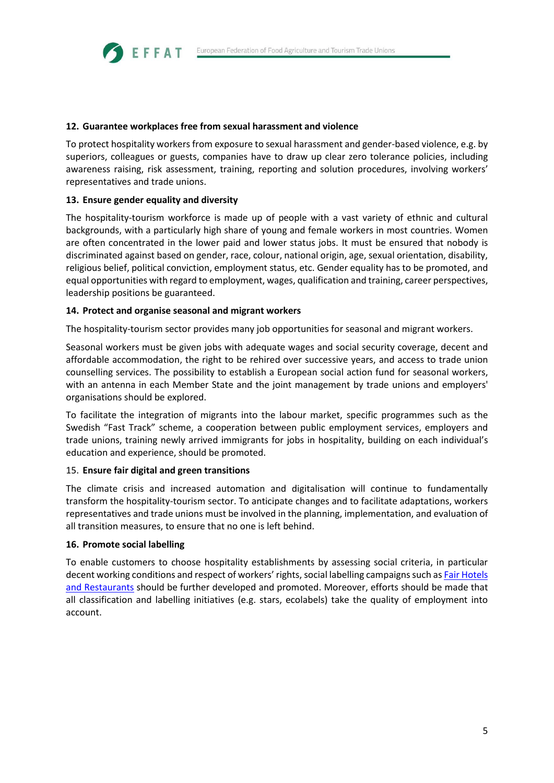### **12. Guarantee workplaces free from sexual harassment and violence**

To protect hospitality workers from exposure to sexual harassment and gender-based violence, e.g. by superiors, colleagues or guests, companies have to draw up clear zero tolerance policies, including awareness raising, risk assessment, training, reporting and solution procedures, involving workers' representatives and trade unions.

## **13. Ensure gender equality and diversity**

EFFAT

The hospitality-tourism workforce is made up of people with a vast variety of ethnic and cultural backgrounds, with a particularly high share of young and female workers in most countries. Women are often concentrated in the lower paid and lower status jobs. It must be ensured that nobody is discriminated against based on gender, race, colour, national origin, age, sexual orientation, disability, religious belief, political conviction, employment status, etc. Gender equality has to be promoted, and equal opportunities with regard to employment, wages, qualification and training, career perspectives, leadership positions be guaranteed.

#### **14. Protect and organise seasonal and migrant workers**

The hospitality-tourism sector provides many job opportunities for seasonal and migrant workers.

Seasonal workers must be given jobs with adequate wages and social security coverage, decent and affordable accommodation, the right to be rehired over successive years, and access to trade union counselling services. The possibility to establish a European social action fund for seasonal workers, with an antenna in each Member State and the joint management by trade unions and employers' organisations should be explored.

To facilitate the integration of migrants into the labour market, specific programmes such as the Swedish "Fast Track" scheme, a cooperation between public employment services, employers and trade unions, training newly arrived immigrants for jobs in hospitality, building on each individual's education and experience, should be promoted.

#### 15. **Ensure fair digital and green transitions**

The climate crisis and increased automation and digitalisation will continue to fundamentally transform the hospitality-tourism sector. To anticipate changes and to facilitate adaptations, workers representatives and trade unions must be involved in the planning, implementation, and evaluation of all transition measures, to ensure that no one is left behind.

#### **16. Promote social labelling**

To enable customers to choose hospitality establishments by assessing social criteria, in particular decent working conditions and respect of workers' rights, social labelling campaigns such a[s Fair Hotels](http://www.justtourism.org/)  [and Restaurants](http://www.justtourism.org/) should be further developed and promoted. Moreover, efforts should be made that all classification and labelling initiatives (e.g. stars, ecolabels) take the quality of employment into account.